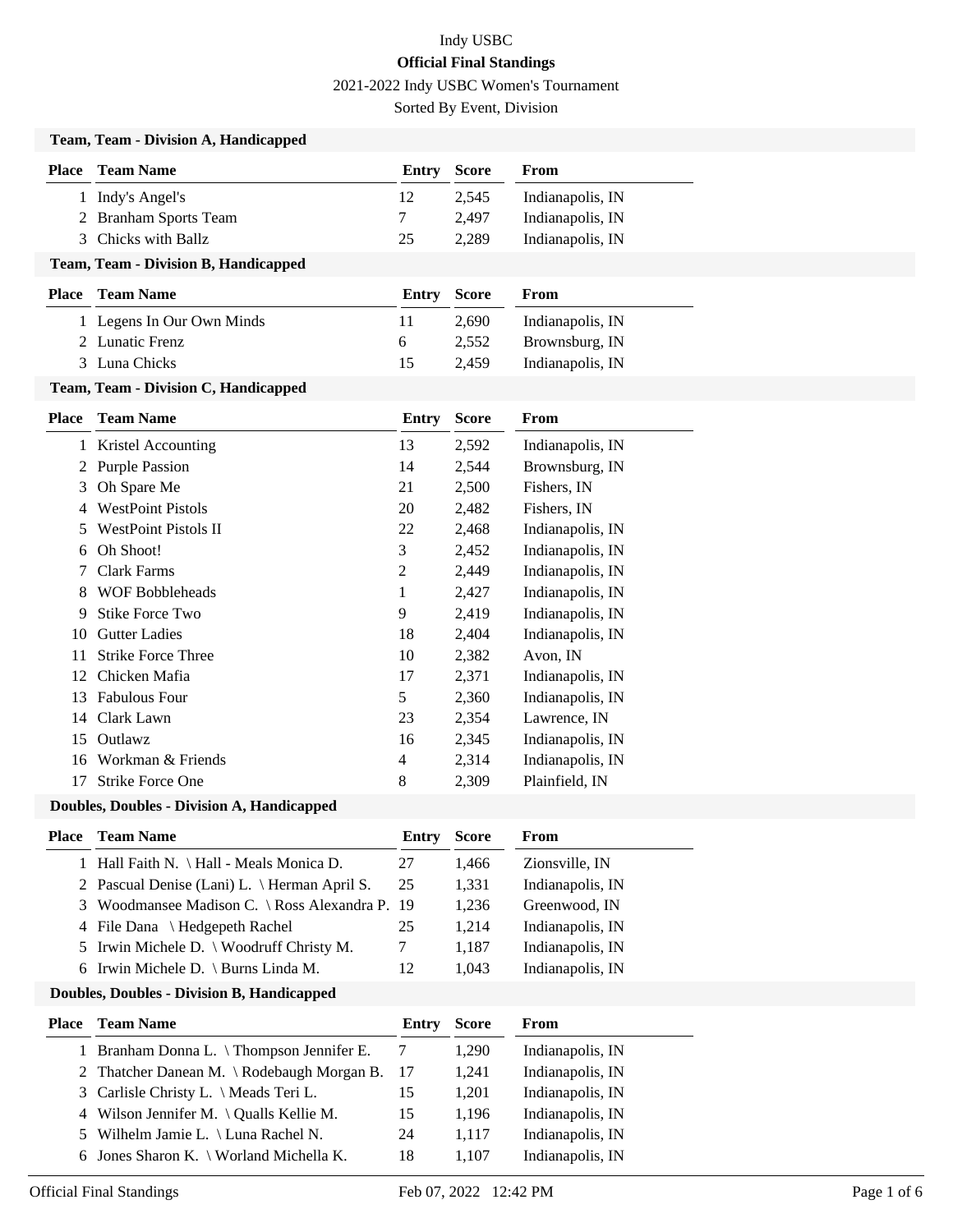2021-2022 Indy USBC Women's Tournament

Sorted By Event, Division

|                | Team, Team - Division A, Handicapped              |                |              |                  |
|----------------|---------------------------------------------------|----------------|--------------|------------------|
| <b>Place</b>   | <b>Team Name</b>                                  | <b>Entry</b>   | <b>Score</b> | From             |
|                | 1 Indy's Angel's                                  | 12             | 2,545        | Indianapolis, IN |
|                | 2 Branham Sports Team                             | 7              | 2,497        | Indianapolis, IN |
| 3              | Chicks with Ballz                                 | 25             | 2,289        | Indianapolis, IN |
|                | Team, Team - Division B, Handicapped              |                |              |                  |
|                | <b>Place</b> Team Name                            | <b>Entry</b>   | <b>Score</b> | From             |
|                | 1 Legens In Our Own Minds                         | 11             | 2,690        | Indianapolis, IN |
|                | 2 Lunatic Frenz                                   | 6              | 2,552        | Brownsburg, IN   |
|                | 3 Luna Chicks                                     | 15             | 2,459        | Indianapolis, IN |
|                | Team, Team - Division C, Handicapped              |                |              |                  |
|                | <b>Place</b> Team Name                            | <b>Entry</b>   | <b>Score</b> | From             |
|                | 1 Kristel Accounting                              | 13             | 2,592        | Indianapolis, IN |
| 2              | <b>Purple Passion</b>                             | 14             | 2,544        | Brownsburg, IN   |
| 3              | Oh Spare Me                                       | 21             | 2,500        | Fishers, IN      |
| 4              | <b>WestPoint Pistols</b>                          | 20             | 2,482        | Fishers, IN      |
|                | <b>WestPoint Pistols II</b>                       | 22             | 2,468        | Indianapolis, IN |
| 6              | Oh Shoot!                                         | 3              | 2,452        | Indianapolis, IN |
|                | Clark Farms                                       | $\overline{c}$ | 2,449        | Indianapolis, IN |
| 8              | <b>WOF Bobbleheads</b>                            | 1              | 2,427        | Indianapolis, IN |
| 9              | <b>Stike Force Two</b>                            | 9              | 2,419        | Indianapolis, IN |
| 10             | <b>Gutter Ladies</b>                              | 18             | 2,404        | Indianapolis, IN |
| 11             | <b>Strike Force Three</b>                         | 10             | 2,382        | Avon, IN         |
| 12             | Chicken Mafia                                     | 17             | 2,371        | Indianapolis, IN |
| 13             | <b>Fabulous Four</b>                              | 5              | 2,360        | Indianapolis, IN |
| 14             | Clark Lawn                                        | 23             | 2,354        | Lawrence, IN     |
| 15             | Outlawz                                           | 16             | 2,345        | Indianapolis, IN |
| 16             | Workman & Friends                                 | 4              | 2,314        | Indianapolis, IN |
| 17             | <b>Strike Force One</b>                           | 8              | 2,309        | Plainfield, IN   |
|                | Doubles, Doubles - Division A, Handicapped        |                |              |                  |
| <b>Place</b>   | <b>Team Name</b>                                  | Entry          | <b>Score</b> | From             |
|                | 1 Hall Faith N. \ Hall - Meals Monica D.          | 27             | 1,466        | Zionsville, IN   |
|                | 2 Pascual Denise (Lani) L. \ Herman April S.      | 25             | 1,331        | Indianapolis, IN |
| 3              | Woodmansee Madison C. \ Ross Alexandra P.         | 19             | 1,236        | Greenwood, IN    |
| $\overline{4}$ | File Dana \ Hedgepeth Rachel                      | 25             | 1,214        | Indianapolis, IN |
| 5              | Irwin Michele D. \ Woodruff Christy M.            | 7              | 1,187        | Indianapolis, IN |
| 6              | Irwin Michele D. \ Burns Linda M.                 | 12             | 1,043        | Indianapolis, IN |
|                | <b>Doubles, Doubles - Division B, Handicapped</b> |                |              |                  |
| Place          | <b>Team Name</b>                                  | Entry          | <b>Score</b> | From             |
|                | 1 Branham Donna L. \Thompson Jennifer E.          | $\overline{7}$ | 1,290        | Indianapolis, IN |
| 2              | Thatcher Danean M. \ Rodebaugh Morgan B.          | 17             | 1,241        | Indianapolis, IN |
| 3              | Carlisle Christy L. \ Meads Teri L.               | 15             | 1,201        | Indianapolis, IN |
| 4              | Wilson Jennifer M. $\setminus$ Qualls Kellie M.   | 15             | 1,196        | Indianapolis, IN |
| 5              | Wilhelm Jamie L. \ Luna Rachel N.                 | 24             | 1,117        | Indianapolis, IN |
| 6              | Jones Sharon K. \ Worland Michella K.             | 18             | 1,107        | Indianapolis, IN |
|                |                                                   |                |              |                  |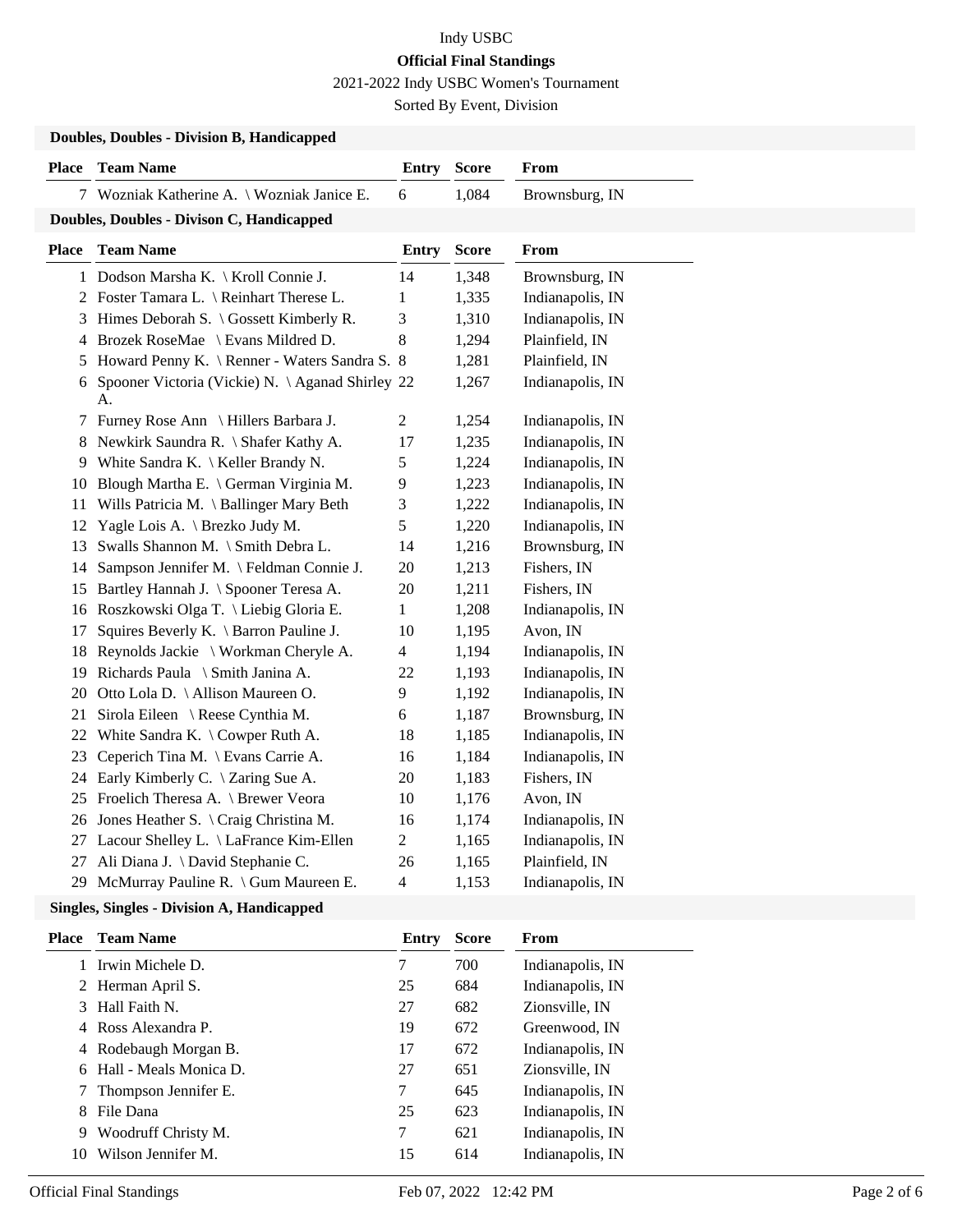2021-2022 Indy USBC Women's Tournament

Sorted By Event, Division

| <b>Doubles, Doubles - Division B, Handicapped</b> |                                                       |                         |              |                  |  |  |  |  |
|---------------------------------------------------|-------------------------------------------------------|-------------------------|--------------|------------------|--|--|--|--|
| Place                                             | <b>Team Name</b>                                      | <b>Entry</b>            | <b>Score</b> | From             |  |  |  |  |
|                                                   | 7 Wozniak Katherine A. \ Wozniak Janice E.            | $\sqrt{6}$              | 1,084        | Brownsburg, IN   |  |  |  |  |
| Doubles, Doubles - Divison C, Handicapped         |                                                       |                         |              |                  |  |  |  |  |
| <b>Place</b>                                      | <b>Team Name</b>                                      | <b>Entry</b>            | <b>Score</b> | From             |  |  |  |  |
|                                                   | 1 Dodson Marsha K. \ Kroll Connie J.                  | 14                      | 1,348        | Brownsburg, IN   |  |  |  |  |
|                                                   | 2 Foster Tamara L. \ Reinhart Therese L.              | $\mathbf{1}$            | 1,335        | Indianapolis, IN |  |  |  |  |
|                                                   | 3 Himes Deborah S. \ Gossett Kimberly R.              | 3                       | 1,310        | Indianapolis, IN |  |  |  |  |
| 4                                                 | Brozek RoseMae \ Evans Mildred D.                     | 8                       | 1,294        | Plainfield, IN   |  |  |  |  |
| 5                                                 | Howard Penny K. \ Renner - Waters Sandra S. 8         |                         | 1,281        | Plainfield, IN   |  |  |  |  |
| 6                                                 | Spooner Victoria (Vickie) N. \Aganad Shirley 22<br>A. |                         | 1,267        | Indianapolis, IN |  |  |  |  |
| 7                                                 | Furney Rose Ann \ Hillers Barbara J.                  | $\mathbf{2}$            | 1,254        | Indianapolis, IN |  |  |  |  |
| 8                                                 | Newkirk Saundra R. \ Shafer Kathy A.                  | 17                      | 1,235        | Indianapolis, IN |  |  |  |  |
| 9                                                 | White Sandra K. \ Keller Brandy N.                    | 5                       | 1,224        | Indianapolis, IN |  |  |  |  |
| 10                                                | Blough Martha E. \ German Virginia M.                 | 9                       | 1,223        | Indianapolis, IN |  |  |  |  |
| 11                                                | Wills Patricia M. \ Ballinger Mary Beth               | 3                       | 1,222        | Indianapolis, IN |  |  |  |  |
| 12                                                | Yagle Lois A. \ Brezko Judy M.                        | 5                       | 1,220        | Indianapolis, IN |  |  |  |  |
| 13                                                | Swalls Shannon M. \ Smith Debra L.                    | 14                      | 1,216        | Brownsburg, IN   |  |  |  |  |
| 14                                                | Sampson Jennifer M. \Feldman Connie J.                | 20                      | 1,213        | Fishers, IN      |  |  |  |  |
| 15                                                | Bartley Hannah J. \ Spooner Teresa A.                 | 20                      | 1,211        | Fishers, IN      |  |  |  |  |
| 16                                                | Roszkowski Olga T. \ Liebig Gloria E.                 | $\mathbf{1}$            | 1,208        | Indianapolis, IN |  |  |  |  |
| 17                                                | Squires Beverly K. \ Barron Pauline J.                | 10                      | 1,195        | Avon, IN         |  |  |  |  |
| 18                                                | Reynolds Jackie \ Workman Cheryle A.                  | $\overline{4}$          | 1,194        | Indianapolis, IN |  |  |  |  |
| 19                                                | Richards Paula \ Smith Janina A.                      | 22                      | 1,193        | Indianapolis, IN |  |  |  |  |
| 20                                                | Otto Lola D. \ Allison Maureen O.                     | 9                       | 1,192        | Indianapolis, IN |  |  |  |  |
| 21                                                | Sirola Eileen \ Reese Cynthia M.                      | 6                       | 1,187        | Brownsburg, IN   |  |  |  |  |
| 22                                                | White Sandra K. $\setminus$ Cowper Ruth A.            | 18                      | 1,185        | Indianapolis, IN |  |  |  |  |
| 23                                                | Ceperich Tina M. \ Evans Carrie A.                    | 16                      | 1,184        | Indianapolis, IN |  |  |  |  |
| 24                                                | Early Kimberly C. \ Zaring Sue A.                     | 20                      | 1,183        | Fishers, IN      |  |  |  |  |
| 25                                                | Froelich Theresa A. \ Brewer Veora                    | 10                      | 1,176        | Avon, IN         |  |  |  |  |
| 26                                                | Jones Heather S. \ Craig Christina M.                 | 16                      | 1,174        | Indianapolis, IN |  |  |  |  |
| 27                                                | Lacour Shelley L. \ LaFrance Kim-Ellen                | $\overline{c}$          | 1,165        | Indianapolis, IN |  |  |  |  |
| 27                                                | Ali Diana J. \ David Stephanie C.                     | 26                      | 1,165        | Plainfield, IN   |  |  |  |  |
| 29                                                | McMurray Pauline R. \ Gum Maureen E.                  | $\overline{\mathbf{4}}$ | 1,153        | Indianapolis, IN |  |  |  |  |

### **Singles, Singles - Division A, Handicapped**

| Place | <b>Team Name</b>         | Entry | <b>Score</b> | From             |
|-------|--------------------------|-------|--------------|------------------|
|       | 1 Irwin Michele D.       | 7     | 700          | Indianapolis, IN |
|       | 2 Herman April S.        | 25    | 684          | Indianapolis, IN |
| 3     | Hall Faith N.            | 27    | 682          | Zionsville. IN   |
|       | 4 Ross Alexandra P.      | 19    | 672          | Greenwood, IN    |
|       | 4 Rodebaugh Morgan B.    | 17    | 672          | Indianapolis, IN |
|       | 6 Hall - Meals Monica D. | 27    | 651          | Zionsville. IN   |
|       | Thompson Jennifer E.     | 7     | 645          | Indianapolis, IN |
| 8     | File Dana                | 25    | 623          | Indianapolis, IN |
| 9     | Woodruff Christy M.      | 7     | 621          | Indianapolis, IN |
| 10    | Wilson Jennifer M.       | 15    | 614          | Indianapolis, IN |
|       |                          |       |              |                  |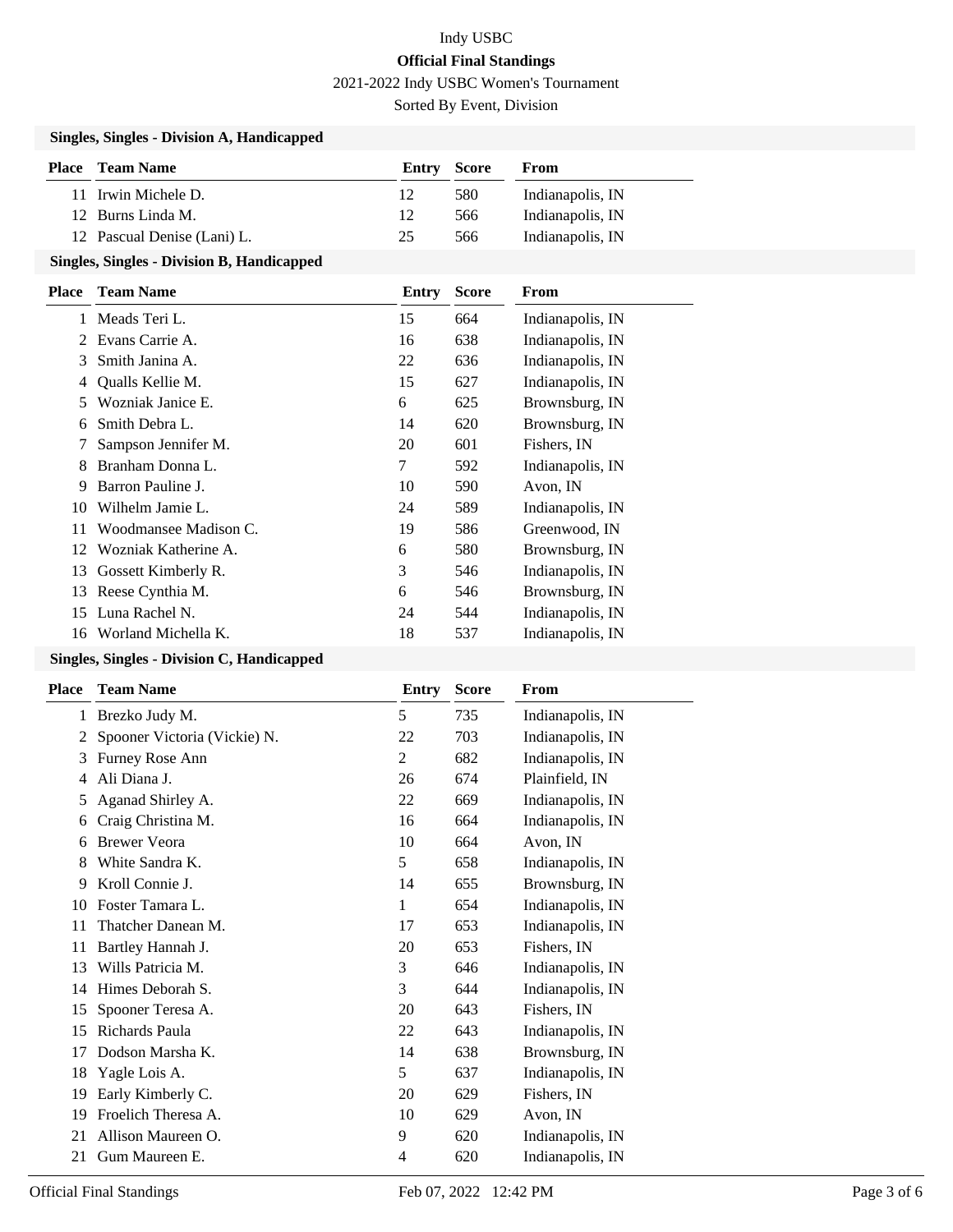2021-2022 Indy USBC Women's Tournament

Sorted By Event, Division

#### **Singles, Singles - Division A, Handicapped**

| Place | Team Name                   | Entry | Score | From             |
|-------|-----------------------------|-------|-------|------------------|
|       | 11 Irwin Michele D.         | 12    | 580   | Indianapolis, IN |
|       | 12 Burns Linda M.           | 12    | 566   | Indianapolis, IN |
|       | 12 Pascual Denise (Lani) L. | 25    | 566   | Indianapolis, IN |

### **Singles, Singles - Division B, Handicapped**

| <b>Team Name</b>      | Entry | <b>Score</b> | <b>From</b>      |
|-----------------------|-------|--------------|------------------|
| Meads Teri L.         | 15    | 664          | Indianapolis, IN |
| Evans Carrie A.       | 16    | 638          | Indianapolis, IN |
| Smith Janina A.       | 22    | 636          | Indianapolis, IN |
| Qualls Kellie M.      | 15    | 627          | Indianapolis, IN |
| Wozniak Janice E.     | 6     | 625          | Brownsburg, IN   |
| Smith Debra L.        | 14    | 620          | Brownsburg, IN   |
| Sampson Jennifer M.   | 20    | 601          | Fishers, IN      |
| Branham Donna L.      | 7     | 592          | Indianapolis, IN |
| Barron Pauline J.     | 10    | 590          | Avon, IN         |
| Wilhelm Jamie L.      | 24    | 589          | Indianapolis, IN |
| Woodmansee Madison C. | 19    | 586          | Greenwood, IN    |
| Wozniak Katherine A.  | 6     | 580          | Brownsburg, IN   |
| Gossett Kimberly R.   | 3     | 546          | Indianapolis, IN |
| Reese Cynthia M.      | 6     | 546          | Brownsburg, IN   |
| Luna Rachel N.        | 24    | 544          | Indianapolis, IN |
| Worland Michella K.   | 18    | 537          | Indianapolis, IN |
|                       |       |              |                  |

### **Singles, Singles - Division C, Handicapped**

| <b>Place</b> | <b>Team Name</b>             | Entry          | <b>Score</b> | From             |
|--------------|------------------------------|----------------|--------------|------------------|
| 1            | Brezko Judy M.               | 5              | 735          | Indianapolis, IN |
| 2            | Spooner Victoria (Vickie) N. | 22             | 703          | Indianapolis, IN |
| 3            | Furney Rose Ann              | 2              | 682          | Indianapolis, IN |
| 4            | Ali Diana J.                 | 26             | 674          | Plainfield, IN   |
| 5            | Aganad Shirley A.            | 22             | 669          | Indianapolis, IN |
| 6            | Craig Christina M.           | 16             | 664          | Indianapolis, IN |
| 6            | <b>Brewer Veora</b>          | 10             | 664          | Avon, IN         |
| 8            | White Sandra K.              | 5              | 658          | Indianapolis, IN |
| 9            | Kroll Connie J.              | 14             | 655          | Brownsburg, IN   |
| 10           | Foster Tamara L.             | 1              | 654          | Indianapolis, IN |
| 11           | Thatcher Danean M.           | 17             | 653          | Indianapolis, IN |
| 11           | Bartley Hannah J.            | 20             | 653          | Fishers, IN      |
| 13           | Wills Patricia M.            | 3              | 646          | Indianapolis, IN |
| 14           | Himes Deborah S.             | 3              | 644          | Indianapolis, IN |
| 15           | Spooner Teresa A.            | 20             | 643          | Fishers, IN      |
| 15           | Richards Paula               | 22             | 643          | Indianapolis, IN |
| 17           | Dodson Marsha K.             | 14             | 638          | Brownsburg, IN   |
| 18           | Yagle Lois A.                | 5              | 637          | Indianapolis, IN |
| 19           | Early Kimberly C.            | 20             | 629          | Fishers, IN      |
| 19           | Froelich Theresa A.          | 10             | 629          | Avon, IN         |
| 21           | Allison Maureen O.           | 9              | 620          | Indianapolis, IN |
| 21           | Gum Maureen E.               | $\overline{4}$ | 620          | Indianapolis, IN |
|              |                              |                |              |                  |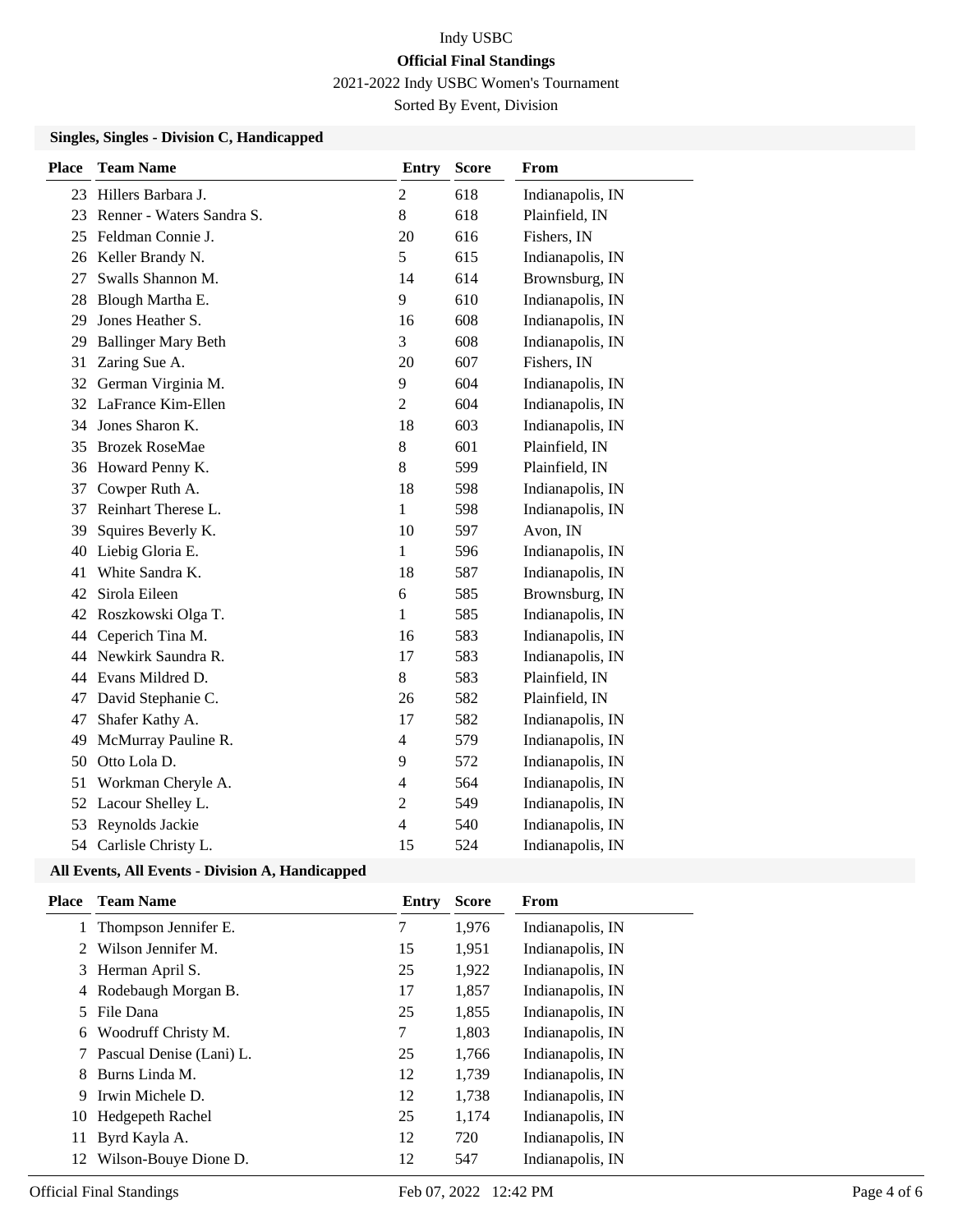2021-2022 Indy USBC Women's Tournament

Sorted By Event, Division

#### **Singles, Singles - Division C, Handicapped**

| <b>Place</b> | <b>Team Name</b>           | <b>Entry</b>   | <b>Score</b> | From             |
|--------------|----------------------------|----------------|--------------|------------------|
| 23           | Hillers Barbara J.         | 2              | 618          | Indianapolis, IN |
| 23           | Renner - Waters Sandra S.  | 8              | 618          | Plainfield, IN   |
| 25           | Feldman Connie J.          | 20             | 616          | Fishers, IN      |
| 26           | Keller Brandy N.           | 5              | 615          | Indianapolis, IN |
| 27           | Swalls Shannon M.          | 14             | 614          | Brownsburg, IN   |
| 28           | Blough Martha E.           | 9              | 610          | Indianapolis, IN |
| 29           | Jones Heather S.           | 16             | 608          | Indianapolis, IN |
| 29           | <b>Ballinger Mary Beth</b> | 3              | 608          | Indianapolis, IN |
| 31           | Zaring Sue A.              | 20             | 607          | Fishers, IN      |
| 32           | German Virginia M.         | 9              | 604          | Indianapolis, IN |
|              | 32 LaFrance Kim-Ellen      | $\overline{2}$ | 604          | Indianapolis, IN |
| 34           | Jones Sharon K.            | 18             | 603          | Indianapolis, IN |
| 35           | <b>Brozek RoseMae</b>      | 8              | 601          | Plainfield, IN   |
| 36           | Howard Penny K.            | 8              | 599          | Plainfield, IN   |
| 37           | Cowper Ruth A.             | 18             | 598          | Indianapolis, IN |
| 37           | Reinhart Therese L.        | $\mathbf{1}$   | 598          | Indianapolis, IN |
| 39           | Squires Beverly K.         | 10             | 597          | Avon, IN         |
| 40           | Liebig Gloria E.           | $\mathbf{1}$   | 596          | Indianapolis, IN |
| 41           | White Sandra K.            | 18             | 587          | Indianapolis, IN |
| 42           | Sirola Eileen              | 6              | 585          | Brownsburg, IN   |
| 42           | Roszkowski Olga T.         | 1              | 585          | Indianapolis, IN |
| 44           | Ceperich Tina M.           | 16             | 583          | Indianapolis, IN |
| 44           | Newkirk Saundra R.         | 17             | 583          | Indianapolis, IN |
| 44           | Evans Mildred D.           | $8\,$          | 583          | Plainfield, IN   |
| 47           | David Stephanie C.         | 26             | 582          | Plainfield, IN   |
| 47           | Shafer Kathy A.            | 17             | 582          | Indianapolis, IN |
| 49           | McMurray Pauline R.        | $\overline{4}$ | 579          | Indianapolis, IN |
| 50           | Otto Lola D.               | 9              | 572          | Indianapolis, IN |
| 51           | Workman Cheryle A.         | $\overline{4}$ | 564          | Indianapolis, IN |
| 52           | Lacour Shelley L.          | $\overline{2}$ | 549          | Indianapolis, IN |
| 53           | Reynolds Jackie            | $\overline{4}$ | 540          | Indianapolis, IN |
| 54           | Carlisle Christy L.        | 15             | 524          | Indianapolis, IN |

#### **All Events, All Events - Division A, Handicapped**

| Place | <b>Team Name</b>         | Entry | <b>Score</b> | <b>From</b>      |
|-------|--------------------------|-------|--------------|------------------|
|       | Thompson Jennifer E.     | 7     | 1,976        | Indianapolis, IN |
|       | Wilson Jennifer M.       | 15    | 1,951        | Indianapolis, IN |
|       | 3 Herman April S.        | 25    | 1,922        | Indianapolis, IN |
| 4     | Rodebaugh Morgan B.      | 17    | 1,857        | Indianapolis, IN |
| 5.    | File Dana                | 25    | 1,855        | Indianapolis, IN |
| 6     | Woodruff Christy M.      | 7     | 1,803        | Indianapolis, IN |
|       | Pascual Denise (Lani) L. | 25    | 1,766        | Indianapolis, IN |
| 8     | Burns Linda M.           | 12    | 1,739        | Indianapolis, IN |
| 9     | Irwin Michele D.         | 12    | 1,738        | Indianapolis, IN |
| 10    | Hedgepeth Rachel         | 25    | 1,174        | Indianapolis, IN |
| 11    | Byrd Kayla A.            | 12    | 720          | Indianapolis, IN |
| 12    | Wilson-Bouye Dione D.    | 12    | 547          | Indianapolis, IN |
|       |                          |       |              |                  |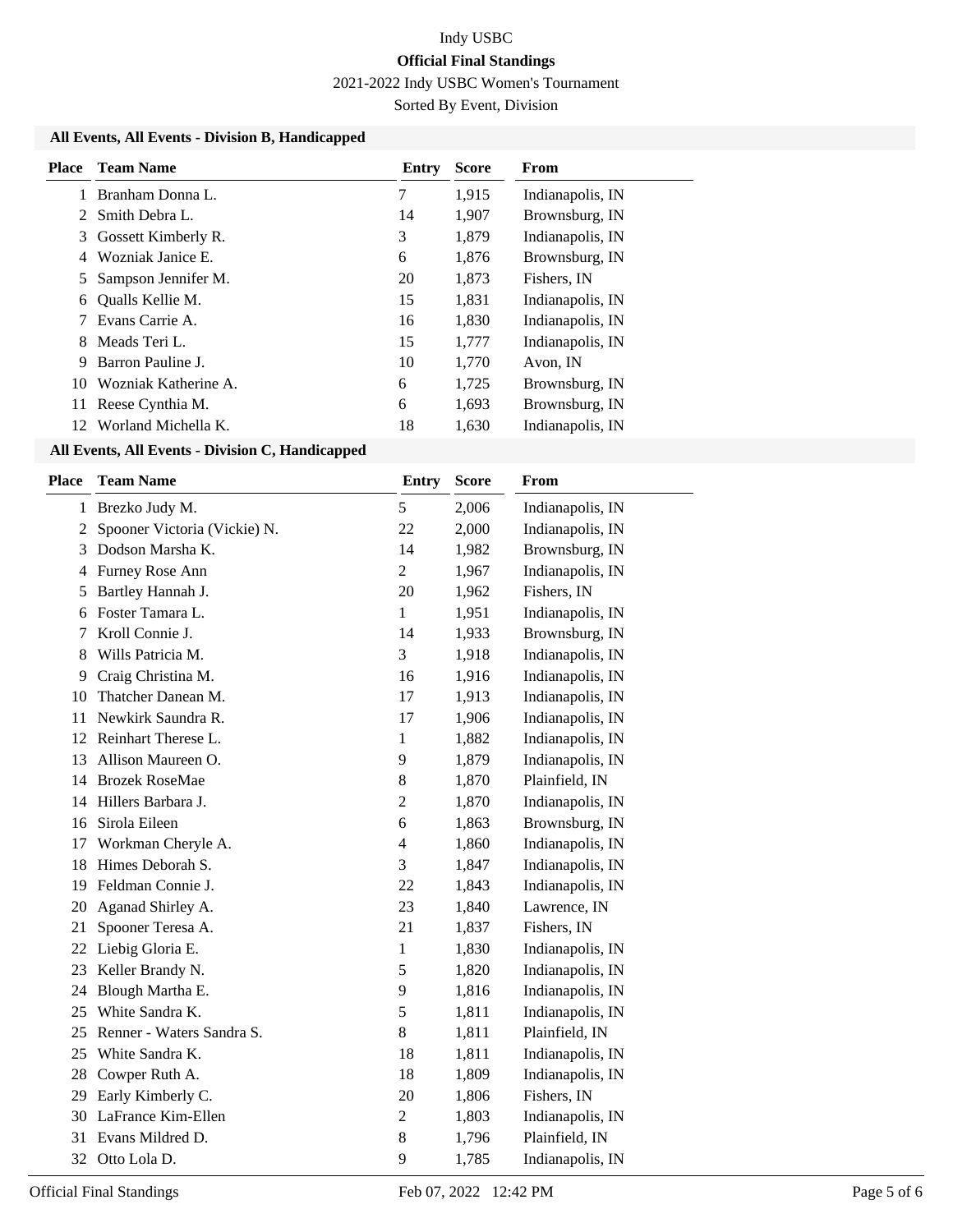2021-2022 Indy USBC Women's Tournament

Sorted By Event, Division

#### **All Events, All Events - Division B, Handicapped**

| <b>Place</b> | <b>Team Name</b>     | Entry | <b>Score</b> | <b>From</b>      |
|--------------|----------------------|-------|--------------|------------------|
|              | Branham Donna L.     | 7     | 1,915        | Indianapolis, IN |
|              | Smith Debra L.       | 14    | 1,907        | Brownsburg, IN   |
| 3            | Gossett Kimberly R.  | 3     | 1,879        | Indianapolis, IN |
| 4            | Wozniak Janice E.    | 6     | 1,876        | Brownsburg, IN   |
| 5.           | Sampson Jennifer M.  | 20    | 1,873        | Fishers, IN      |
| 6            | Qualls Kellie M.     | 15    | 1,831        | Indianapolis, IN |
|              | Evans Carrie A.      | 16    | 1,830        | Indianapolis, IN |
| 8            | Meads Teri L.        | 15    | 1,777        | Indianapolis, IN |
| 9            | Barron Pauline J.    | 10    | 1,770        | Avon, IN         |
| 10           | Wozniak Katherine A. | 6     | 1,725        | Brownsburg, IN   |
| 11           | Reese Cynthia M.     | 6     | 1,693        | Brownsburg, IN   |
| 12           | Worland Michella K.  | 18    | 1,630        | Indianapolis, IN |

#### **All Events, All Events - Division C, Handicapped**

| Place          | <b>Team Name</b>             | <b>Entry</b>   | <b>Score</b> | From             |
|----------------|------------------------------|----------------|--------------|------------------|
| $\mathbf{1}$   | Brezko Judy M.               | 5              | 2,006        | Indianapolis, IN |
| $\overline{2}$ | Spooner Victoria (Vickie) N. | 22             | 2,000        | Indianapolis, IN |
| 3              | Dodson Marsha K.             | 14             | 1,982        | Brownsburg, IN   |
| 4              | Furney Rose Ann              | $\overline{2}$ | 1,967        | Indianapolis, IN |
| 5              | Bartley Hannah J.            | 20             | 1,962        | Fishers, IN      |
| 6              | Foster Tamara L.             | $\mathbf{1}$   | 1,951        | Indianapolis, IN |
| 7              | Kroll Connie J.              | 14             | 1,933        | Brownsburg, IN   |
| 8              | Wills Patricia M.            | 3              | 1,918        | Indianapolis, IN |
| 9              | Craig Christina M.           | 16             | 1,916        | Indianapolis, IN |
| 10             | Thatcher Danean M.           | 17             | 1,913        | Indianapolis, IN |
| 11             | Newkirk Saundra R.           | 17             | 1,906        | Indianapolis, IN |
| 12             | Reinhart Therese L.          | $\mathbf{1}$   | 1,882        | Indianapolis, IN |
| 13             | Allison Maureen O.           | 9              | 1,879        | Indianapolis, IN |
| 14             | <b>Brozek RoseMae</b>        | $\,8\,$        | 1,870        | Plainfield, IN   |
| 14             | Hillers Barbara J.           | $\overline{2}$ | 1,870        | Indianapolis, IN |
| 16             | Sirola Eileen                | 6              | 1,863        | Brownsburg, IN   |
| 17             | Workman Cheryle A.           | $\overline{4}$ | 1,860        | Indianapolis, IN |
| 18             | Himes Deborah S.             | 3              | 1,847        | Indianapolis, IN |
| 19             | Feldman Connie J.            | 22             | 1,843        | Indianapolis, IN |
| 20             | Aganad Shirley A.            | 23             | 1,840        | Lawrence, IN     |
| 21             | Spooner Teresa A.            | 21             | 1,837        | Fishers, IN      |
| 22             | Liebig Gloria E.             | $\mathbf{1}$   | 1,830        | Indianapolis, IN |
| 23             | Keller Brandy N.             | 5              | 1,820        | Indianapolis, IN |
| 24             | Blough Martha E.             | 9              | 1,816        | Indianapolis, IN |
| 25             | White Sandra K.              | 5              | 1,811        | Indianapolis, IN |
| 25             | Renner - Waters Sandra S.    | 8              | 1,811        | Plainfield, IN   |
| 25             | White Sandra K.              | 18             | 1,811        | Indianapolis, IN |
| 28             | Cowper Ruth A.               | 18             | 1,809        | Indianapolis, IN |
| 29             | Early Kimberly C.            | 20             | 1,806        | Fishers, IN      |
| 30             | LaFrance Kim-Ellen           | $\overline{c}$ | 1,803        | Indianapolis, IN |
| 31             | Evans Mildred D.             | 8              | 1,796        | Plainfield, IN   |
| 32             | Otto Lola D.                 | 9              | 1,785        | Indianapolis, IN |
|                |                              |                |              |                  |